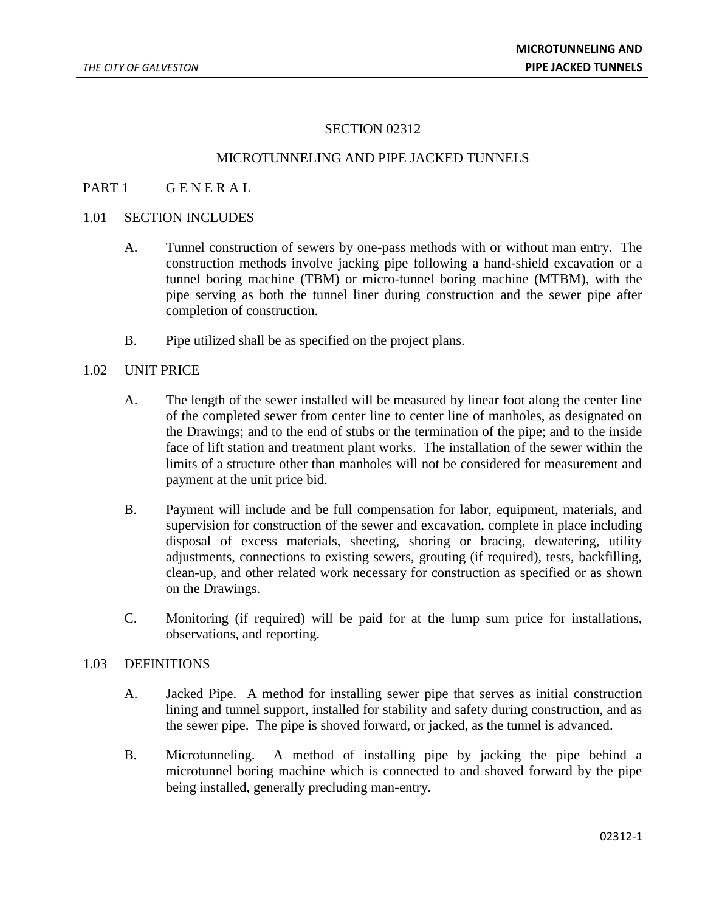### SECTION 02312

### MICROTUNNELING AND PIPE JACKED TUNNELS

### PART 1 GENERAL

#### 1.01 SECTION INCLUDES

- A. Tunnel construction of sewers by one-pass methods with or without man entry. The construction methods involve jacking pipe following a hand-shield excavation or a tunnel boring machine (TBM) or micro-tunnel boring machine (MTBM), with the pipe serving as both the tunnel liner during construction and the sewer pipe after completion of construction.
- B. Pipe utilized shall be as specified on the project plans.

## 1.02 UNIT PRICE

- A. The length of the sewer installed will be measured by linear foot along the center line of the completed sewer from center line to center line of manholes, as designated on the Drawings; and to the end of stubs or the termination of the pipe; and to the inside face of lift station and treatment plant works. The installation of the sewer within the limits of a structure other than manholes will not be considered for measurement and payment at the unit price bid.
- B. Payment will include and be full compensation for labor, equipment, materials, and supervision for construction of the sewer and excavation, complete in place including disposal of excess materials, sheeting, shoring or bracing, dewatering, utility adjustments, connections to existing sewers, grouting (if required), tests, backfilling, clean-up, and other related work necessary for construction as specified or as shown on the Drawings.
- C. Monitoring (if required) will be paid for at the lump sum price for installations, observations, and reporting.

#### 1.03 DEFINITIONS

- A. Jacked Pipe. A method for installing sewer pipe that serves as initial construction lining and tunnel support, installed for stability and safety during construction, and as the sewer pipe. The pipe is shoved forward, or jacked, as the tunnel is advanced.
- B. Microtunneling. A method of installing pipe by jacking the pipe behind a microtunnel boring machine which is connected to and shoved forward by the pipe being installed, generally precluding man-entry.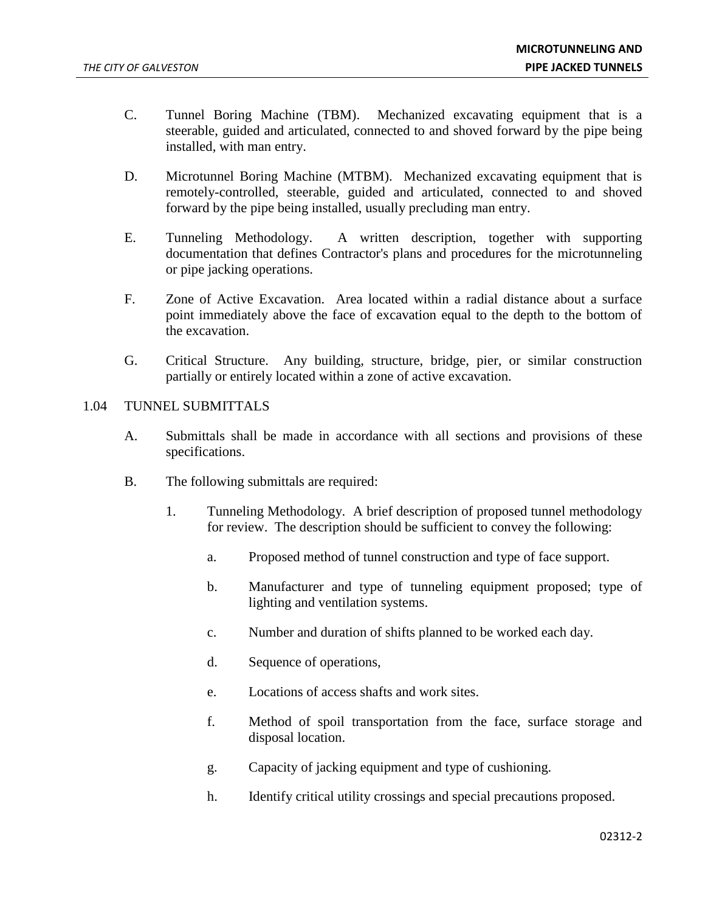- C. Tunnel Boring Machine (TBM). Mechanized excavating equipment that is a steerable, guided and articulated, connected to and shoved forward by the pipe being installed, with man entry.
- D. Microtunnel Boring Machine (MTBM). Mechanized excavating equipment that is remotely-controlled, steerable, guided and articulated, connected to and shoved forward by the pipe being installed, usually precluding man entry.
- E. Tunneling Methodology. A written description, together with supporting documentation that defines Contractor's plans and procedures for the microtunneling or pipe jacking operations.
- F. Zone of Active Excavation. Area located within a radial distance about a surface point immediately above the face of excavation equal to the depth to the bottom of the excavation.
- G. Critical Structure. Any building, structure, bridge, pier, or similar construction partially or entirely located within a zone of active excavation.

## 1.04 TUNNEL SUBMITTALS

- A. Submittals shall be made in accordance with all sections and provisions of these specifications.
- B. The following submittals are required:
	- 1. Tunneling Methodology. A brief description of proposed tunnel methodology for review. The description should be sufficient to convey the following:
		- a. Proposed method of tunnel construction and type of face support.
		- b. Manufacturer and type of tunneling equipment proposed; type of lighting and ventilation systems.
		- c. Number and duration of shifts planned to be worked each day.
		- d. Sequence of operations,
		- e. Locations of access shafts and work sites.
		- f. Method of spoil transportation from the face, surface storage and disposal location.
		- g. Capacity of jacking equipment and type of cushioning.
		- h. Identify critical utility crossings and special precautions proposed.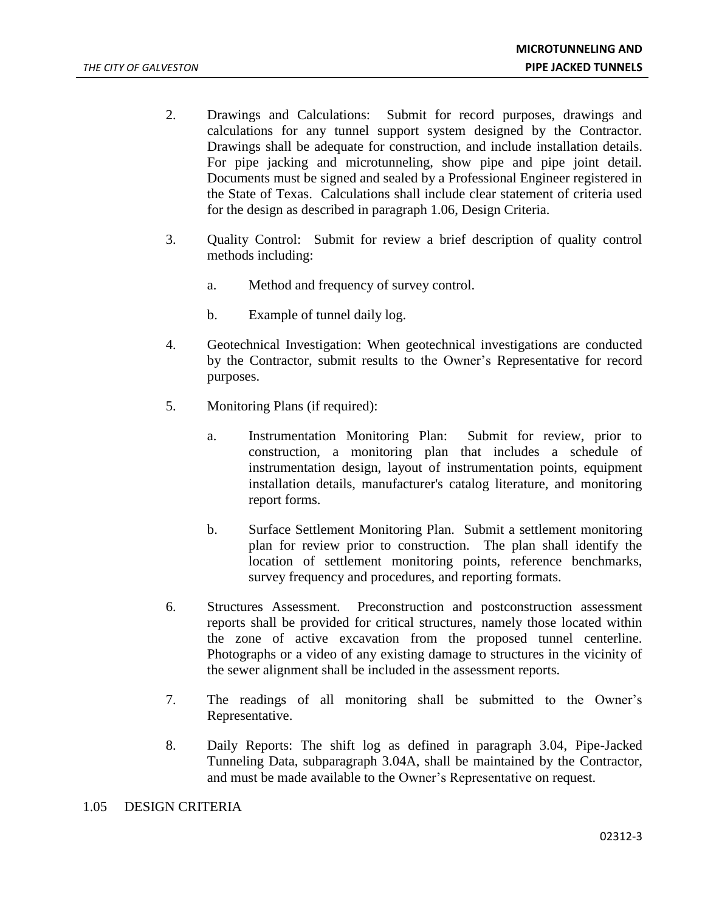- 2. Drawings and Calculations: Submit for record purposes, drawings and calculations for any tunnel support system designed by the Contractor. Drawings shall be adequate for construction, and include installation details. For pipe jacking and microtunneling, show pipe and pipe joint detail. Documents must be signed and sealed by a Professional Engineer registered in the State of Texas. Calculations shall include clear statement of criteria used for the design as described in paragraph 1.06, Design Criteria.
- 3. Quality Control: Submit for review a brief description of quality control methods including:
	- a. Method and frequency of survey control.
	- b. Example of tunnel daily log.
- 4. Geotechnical Investigation: When geotechnical investigations are conducted by the Contractor, submit results to the Owner's Representative for record purposes.
- 5. Monitoring Plans (if required):
	- a. Instrumentation Monitoring Plan: Submit for review, prior to construction, a monitoring plan that includes a schedule of instrumentation design, layout of instrumentation points, equipment installation details, manufacturer's catalog literature, and monitoring report forms.
	- b. Surface Settlement Monitoring Plan. Submit a settlement monitoring plan for review prior to construction. The plan shall identify the location of settlement monitoring points, reference benchmarks, survey frequency and procedures, and reporting formats.
- 6. Structures Assessment. Preconstruction and postconstruction assessment reports shall be provided for critical structures, namely those located within the zone of active excavation from the proposed tunnel centerline. Photographs or a video of any existing damage to structures in the vicinity of the sewer alignment shall be included in the assessment reports.
- 7. The readings of all monitoring shall be submitted to the Owner's Representative.
- 8. Daily Reports: The shift log as defined in paragraph 3.04, Pipe-Jacked Tunneling Data, subparagraph 3.04A, shall be maintained by the Contractor, and must be made available to the Owner's Representative on request.

### 1.05 DESIGN CRITERIA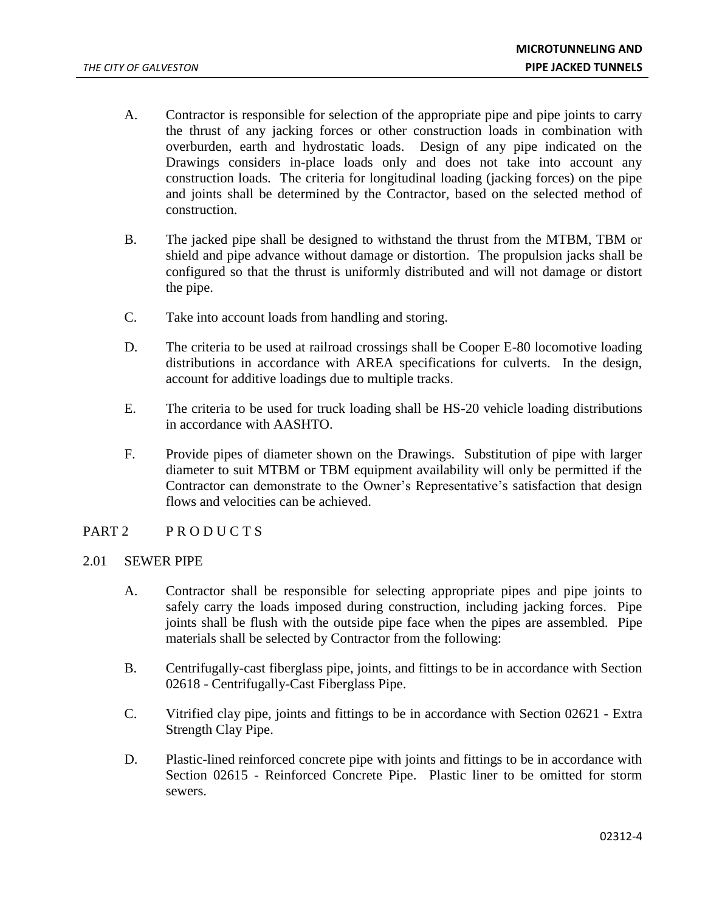- A. Contractor is responsible for selection of the appropriate pipe and pipe joints to carry the thrust of any jacking forces or other construction loads in combination with overburden, earth and hydrostatic loads. Design of any pipe indicated on the Drawings considers in-place loads only and does not take into account any construction loads. The criteria for longitudinal loading (jacking forces) on the pipe and joints shall be determined by the Contractor, based on the selected method of construction.
- B. The jacked pipe shall be designed to withstand the thrust from the MTBM, TBM or shield and pipe advance without damage or distortion. The propulsion jacks shall be configured so that the thrust is uniformly distributed and will not damage or distort the pipe.
- C. Take into account loads from handling and storing.
- D. The criteria to be used at railroad crossings shall be Cooper E-80 locomotive loading distributions in accordance with AREA specifications for culverts. In the design, account for additive loadings due to multiple tracks.
- E. The criteria to be used for truck loading shall be HS-20 vehicle loading distributions in accordance with AASHTO.
- F. Provide pipes of diameter shown on the Drawings. Substitution of pipe with larger diameter to suit MTBM or TBM equipment availability will only be permitted if the Contractor can demonstrate to the Owner's Representative's satisfaction that design flows and velocities can be achieved.

# PART 2 PRODUCTS

## 2.01 SEWER PIPE

- A. Contractor shall be responsible for selecting appropriate pipes and pipe joints to safely carry the loads imposed during construction, including jacking forces. Pipe joints shall be flush with the outside pipe face when the pipes are assembled. Pipe materials shall be selected by Contractor from the following:
- B. Centrifugally-cast fiberglass pipe, joints, and fittings to be in accordance with Section 02618 - Centrifugally-Cast Fiberglass Pipe.
- C. Vitrified clay pipe, joints and fittings to be in accordance with Section 02621 Extra Strength Clay Pipe.
- D. Plastic-lined reinforced concrete pipe with joints and fittings to be in accordance with Section 02615 - Reinforced Concrete Pipe. Plastic liner to be omitted for storm sewers.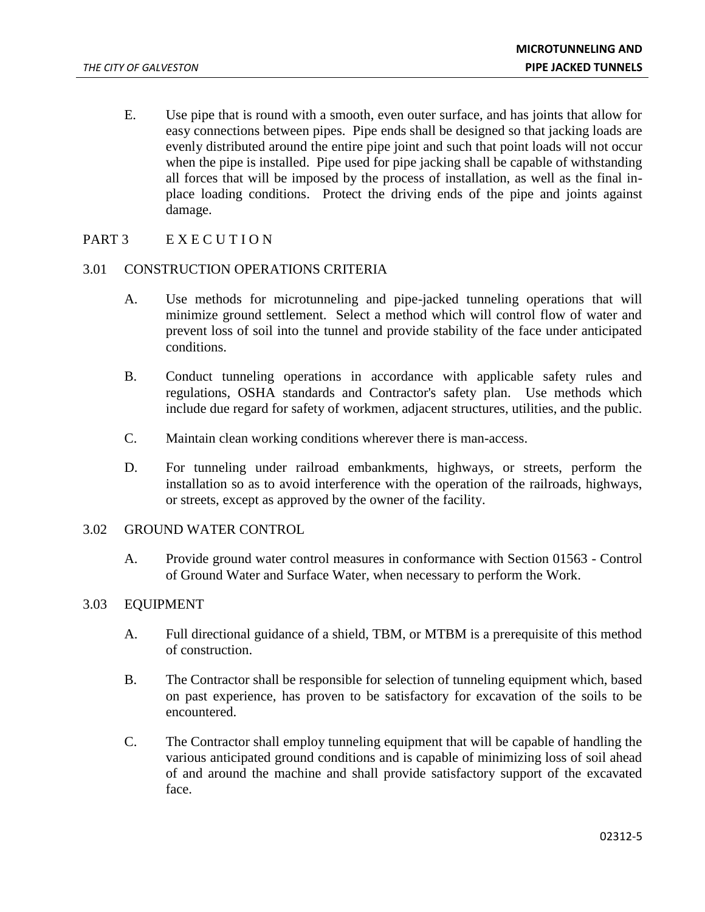- E. Use pipe that is round with a smooth, even outer surface, and has joints that allow for easy connections between pipes. Pipe ends shall be designed so that jacking loads are evenly distributed around the entire pipe joint and such that point loads will not occur when the pipe is installed. Pipe used for pipe jacking shall be capable of withstanding all forces that will be imposed by the process of installation, as well as the final inplace loading conditions. Protect the driving ends of the pipe and joints against damage.
- PART 3 EXECUTION

## 3.01 CONSTRUCTION OPERATIONS CRITERIA

- A. Use methods for microtunneling and pipe-jacked tunneling operations that will minimize ground settlement. Select a method which will control flow of water and prevent loss of soil into the tunnel and provide stability of the face under anticipated conditions.
- B. Conduct tunneling operations in accordance with applicable safety rules and regulations, OSHA standards and Contractor's safety plan. Use methods which include due regard for safety of workmen, adjacent structures, utilities, and the public.
- C. Maintain clean working conditions wherever there is man-access.
- D. For tunneling under railroad embankments, highways, or streets, perform the installation so as to avoid interference with the operation of the railroads, highways, or streets, except as approved by the owner of the facility.

## 3.02 GROUND WATER CONTROL

A. Provide ground water control measures in conformance with Section 01563 - Control of Ground Water and Surface Water, when necessary to perform the Work.

## 3.03 EQUIPMENT

- A. Full directional guidance of a shield, TBM, or MTBM is a prerequisite of this method of construction.
- B. The Contractor shall be responsible for selection of tunneling equipment which, based on past experience, has proven to be satisfactory for excavation of the soils to be encountered.
- C. The Contractor shall employ tunneling equipment that will be capable of handling the various anticipated ground conditions and is capable of minimizing loss of soil ahead of and around the machine and shall provide satisfactory support of the excavated face.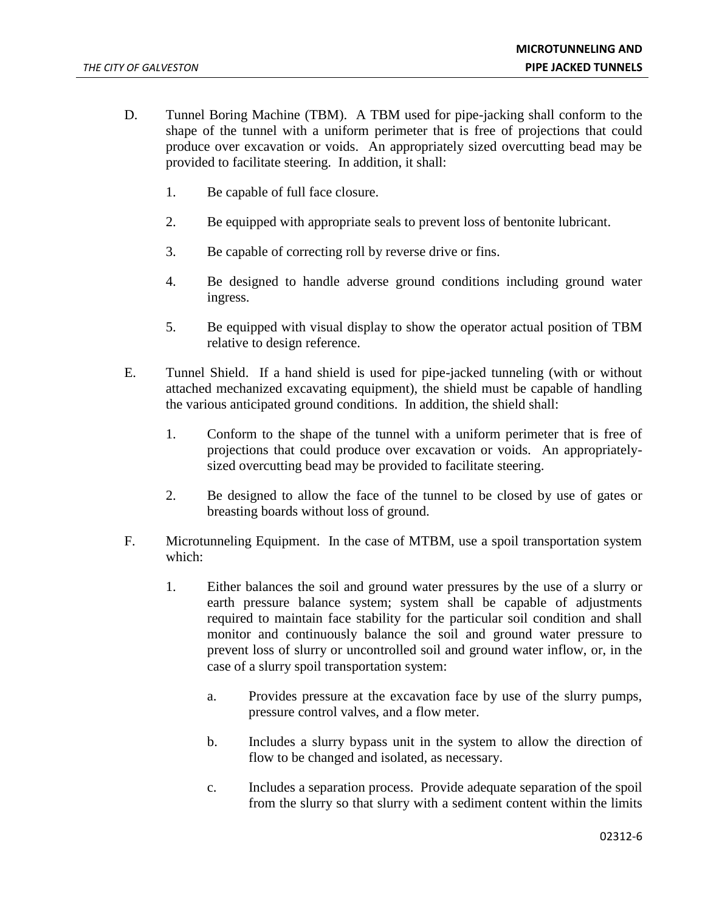- D. Tunnel Boring Machine (TBM). A TBM used for pipe-jacking shall conform to the shape of the tunnel with a uniform perimeter that is free of projections that could produce over excavation or voids. An appropriately sized overcutting bead may be provided to facilitate steering. In addition, it shall:
	- 1. Be capable of full face closure.
	- 2. Be equipped with appropriate seals to prevent loss of bentonite lubricant.
	- 3. Be capable of correcting roll by reverse drive or fins.
	- 4. Be designed to handle adverse ground conditions including ground water ingress.
	- 5. Be equipped with visual display to show the operator actual position of TBM relative to design reference.
- E. Tunnel Shield. If a hand shield is used for pipe-jacked tunneling (with or without attached mechanized excavating equipment), the shield must be capable of handling the various anticipated ground conditions. In addition, the shield shall:
	- 1. Conform to the shape of the tunnel with a uniform perimeter that is free of projections that could produce over excavation or voids. An appropriatelysized overcutting bead may be provided to facilitate steering.
	- 2. Be designed to allow the face of the tunnel to be closed by use of gates or breasting boards without loss of ground.
- F. Microtunneling Equipment. In the case of MTBM, use a spoil transportation system which:
	- 1. Either balances the soil and ground water pressures by the use of a slurry or earth pressure balance system; system shall be capable of adjustments required to maintain face stability for the particular soil condition and shall monitor and continuously balance the soil and ground water pressure to prevent loss of slurry or uncontrolled soil and ground water inflow, or, in the case of a slurry spoil transportation system:
		- a. Provides pressure at the excavation face by use of the slurry pumps, pressure control valves, and a flow meter.
		- b. Includes a slurry bypass unit in the system to allow the direction of flow to be changed and isolated, as necessary.
		- c. Includes a separation process. Provide adequate separation of the spoil from the slurry so that slurry with a sediment content within the limits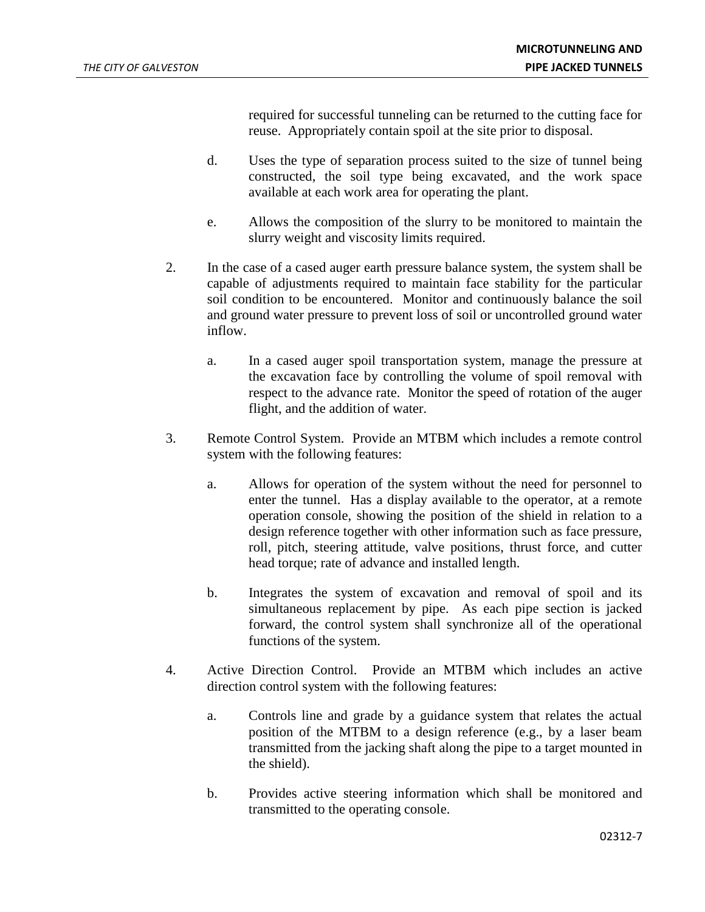required for successful tunneling can be returned to the cutting face for reuse. Appropriately contain spoil at the site prior to disposal.

- d. Uses the type of separation process suited to the size of tunnel being constructed, the soil type being excavated, and the work space available at each work area for operating the plant.
- e. Allows the composition of the slurry to be monitored to maintain the slurry weight and viscosity limits required.
- 2. In the case of a cased auger earth pressure balance system, the system shall be capable of adjustments required to maintain face stability for the particular soil condition to be encountered. Monitor and continuously balance the soil and ground water pressure to prevent loss of soil or uncontrolled ground water inflow.
	- a. In a cased auger spoil transportation system, manage the pressure at the excavation face by controlling the volume of spoil removal with respect to the advance rate. Monitor the speed of rotation of the auger flight, and the addition of water.
- 3. Remote Control System. Provide an MTBM which includes a remote control system with the following features:
	- a. Allows for operation of the system without the need for personnel to enter the tunnel. Has a display available to the operator, at a remote operation console, showing the position of the shield in relation to a design reference together with other information such as face pressure, roll, pitch, steering attitude, valve positions, thrust force, and cutter head torque; rate of advance and installed length.
	- b. Integrates the system of excavation and removal of spoil and its simultaneous replacement by pipe. As each pipe section is jacked forward, the control system shall synchronize all of the operational functions of the system.
- 4. Active Direction Control. Provide an MTBM which includes an active direction control system with the following features:
	- a. Controls line and grade by a guidance system that relates the actual position of the MTBM to a design reference (e.g., by a laser beam transmitted from the jacking shaft along the pipe to a target mounted in the shield).
	- b. Provides active steering information which shall be monitored and transmitted to the operating console.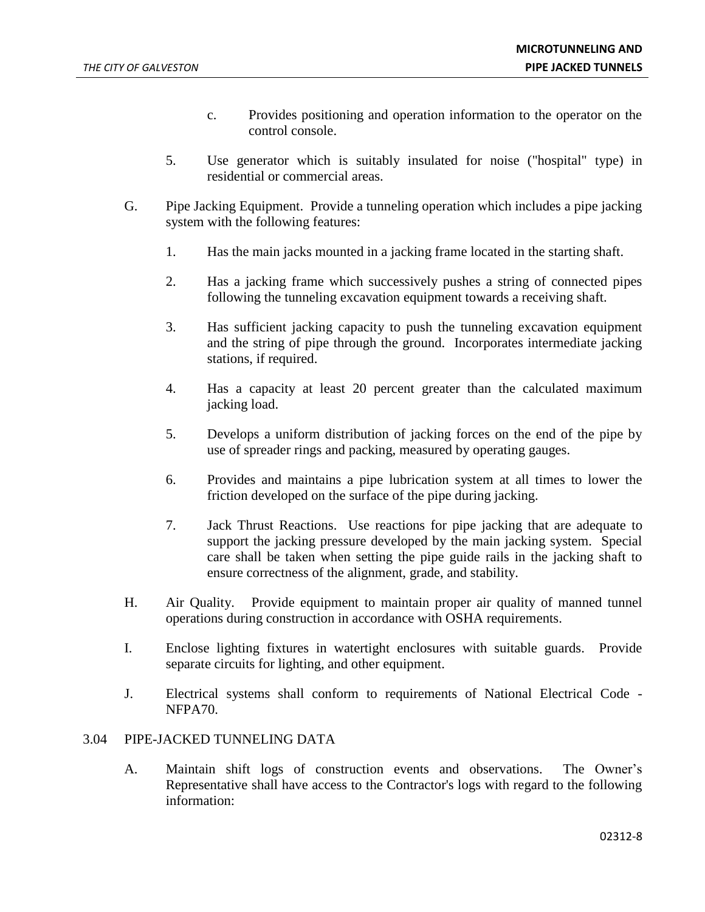- c. Provides positioning and operation information to the operator on the control console.
- 5. Use generator which is suitably insulated for noise ("hospital" type) in residential or commercial areas.
- G. Pipe Jacking Equipment. Provide a tunneling operation which includes a pipe jacking system with the following features:
	- 1. Has the main jacks mounted in a jacking frame located in the starting shaft.
	- 2. Has a jacking frame which successively pushes a string of connected pipes following the tunneling excavation equipment towards a receiving shaft.
	- 3. Has sufficient jacking capacity to push the tunneling excavation equipment and the string of pipe through the ground. Incorporates intermediate jacking stations, if required.
	- 4. Has a capacity at least 20 percent greater than the calculated maximum jacking load.
	- 5. Develops a uniform distribution of jacking forces on the end of the pipe by use of spreader rings and packing, measured by operating gauges.
	- 6. Provides and maintains a pipe lubrication system at all times to lower the friction developed on the surface of the pipe during jacking.
	- 7. Jack Thrust Reactions. Use reactions for pipe jacking that are adequate to support the jacking pressure developed by the main jacking system. Special care shall be taken when setting the pipe guide rails in the jacking shaft to ensure correctness of the alignment, grade, and stability.
- H. Air Quality. Provide equipment to maintain proper air quality of manned tunnel operations during construction in accordance with OSHA requirements.
- I. Enclose lighting fixtures in watertight enclosures with suitable guards. Provide separate circuits for lighting, and other equipment.
- J. Electrical systems shall conform to requirements of National Electrical Code NFPA70.

## 3.04 PIPE-JACKED TUNNELING DATA

A. Maintain shift logs of construction events and observations. The Owner's Representative shall have access to the Contractor's logs with regard to the following information: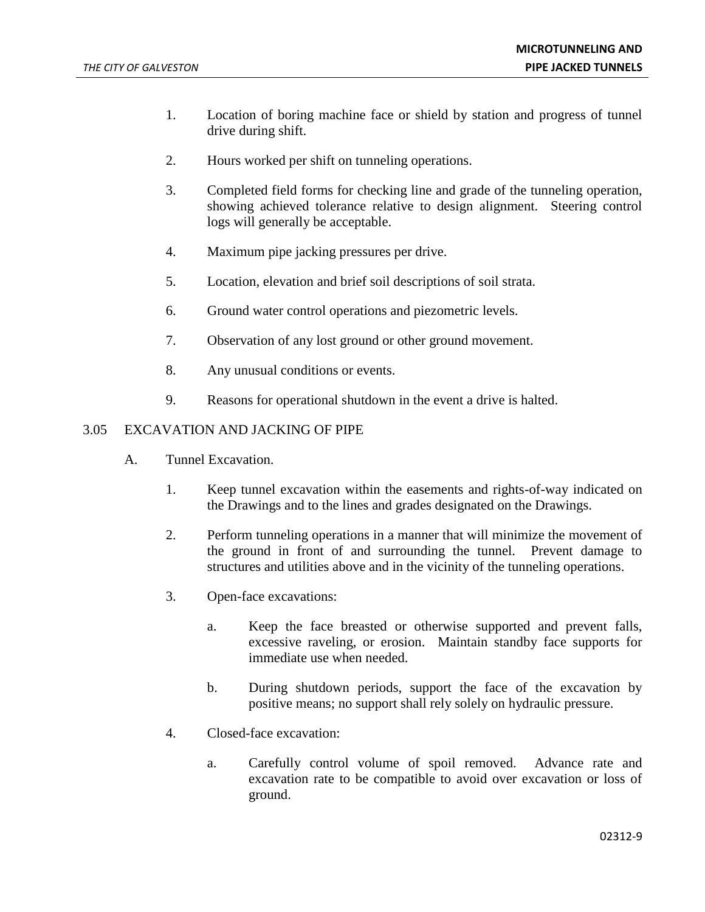- 1. Location of boring machine face or shield by station and progress of tunnel drive during shift.
- 2. Hours worked per shift on tunneling operations.
- 3. Completed field forms for checking line and grade of the tunneling operation, showing achieved tolerance relative to design alignment. Steering control logs will generally be acceptable.
- 4. Maximum pipe jacking pressures per drive.
- 5. Location, elevation and brief soil descriptions of soil strata.
- 6. Ground water control operations and piezometric levels.
- 7. Observation of any lost ground or other ground movement.
- 8. Any unusual conditions or events.
- 9. Reasons for operational shutdown in the event a drive is halted.

## 3.05 EXCAVATION AND JACKING OF PIPE

- A. Tunnel Excavation.
	- 1. Keep tunnel excavation within the easements and rights-of-way indicated on the Drawings and to the lines and grades designated on the Drawings.
	- 2. Perform tunneling operations in a manner that will minimize the movement of the ground in front of and surrounding the tunnel. Prevent damage to structures and utilities above and in the vicinity of the tunneling operations.
	- 3. Open-face excavations:
		- a. Keep the face breasted or otherwise supported and prevent falls, excessive raveling, or erosion. Maintain standby face supports for immediate use when needed.
		- b. During shutdown periods, support the face of the excavation by positive means; no support shall rely solely on hydraulic pressure.
	- 4. Closed-face excavation:
		- a. Carefully control volume of spoil removed. Advance rate and excavation rate to be compatible to avoid over excavation or loss of ground.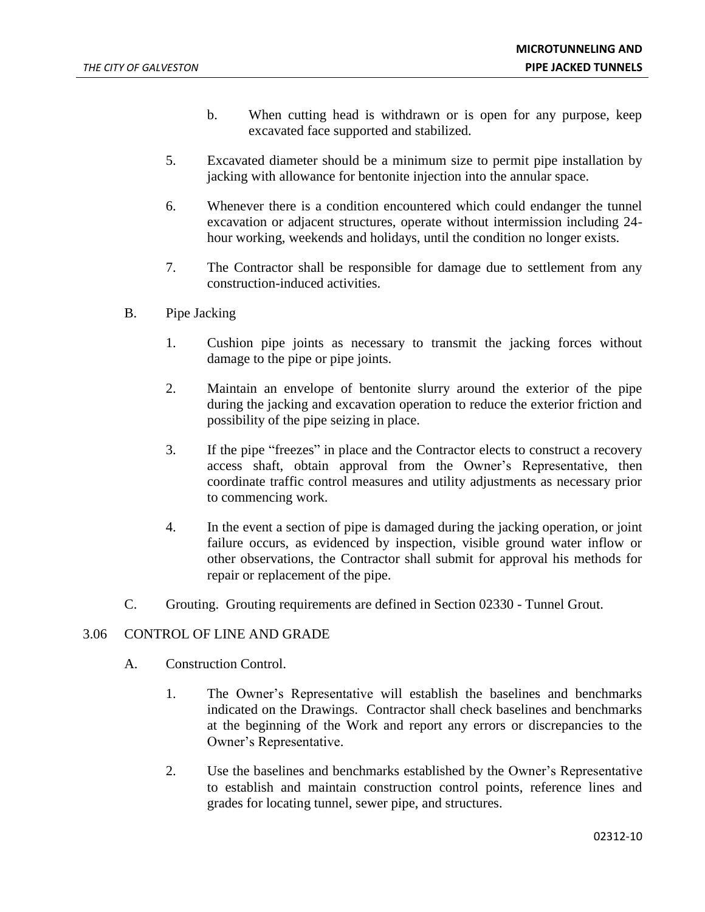- b. When cutting head is withdrawn or is open for any purpose, keep excavated face supported and stabilized.
- 5. Excavated diameter should be a minimum size to permit pipe installation by jacking with allowance for bentonite injection into the annular space.
- 6. Whenever there is a condition encountered which could endanger the tunnel excavation or adjacent structures, operate without intermission including 24 hour working, weekends and holidays, until the condition no longer exists.
- 7. The Contractor shall be responsible for damage due to settlement from any construction-induced activities.
- B. Pipe Jacking
	- 1. Cushion pipe joints as necessary to transmit the jacking forces without damage to the pipe or pipe joints.
	- 2. Maintain an envelope of bentonite slurry around the exterior of the pipe during the jacking and excavation operation to reduce the exterior friction and possibility of the pipe seizing in place.
	- 3. If the pipe "freezes" in place and the Contractor elects to construct a recovery access shaft, obtain approval from the Owner's Representative, then coordinate traffic control measures and utility adjustments as necessary prior to commencing work.
	- 4. In the event a section of pipe is damaged during the jacking operation, or joint failure occurs, as evidenced by inspection, visible ground water inflow or other observations, the Contractor shall submit for approval his methods for repair or replacement of the pipe.
- C. Grouting. Grouting requirements are defined in Section 02330 Tunnel Grout.

## 3.06 CONTROL OF LINE AND GRADE

- A. Construction Control.
	- 1. The Owner's Representative will establish the baselines and benchmarks indicated on the Drawings. Contractor shall check baselines and benchmarks at the beginning of the Work and report any errors or discrepancies to the Owner's Representative.
	- 2. Use the baselines and benchmarks established by the Owner's Representative to establish and maintain construction control points, reference lines and grades for locating tunnel, sewer pipe, and structures.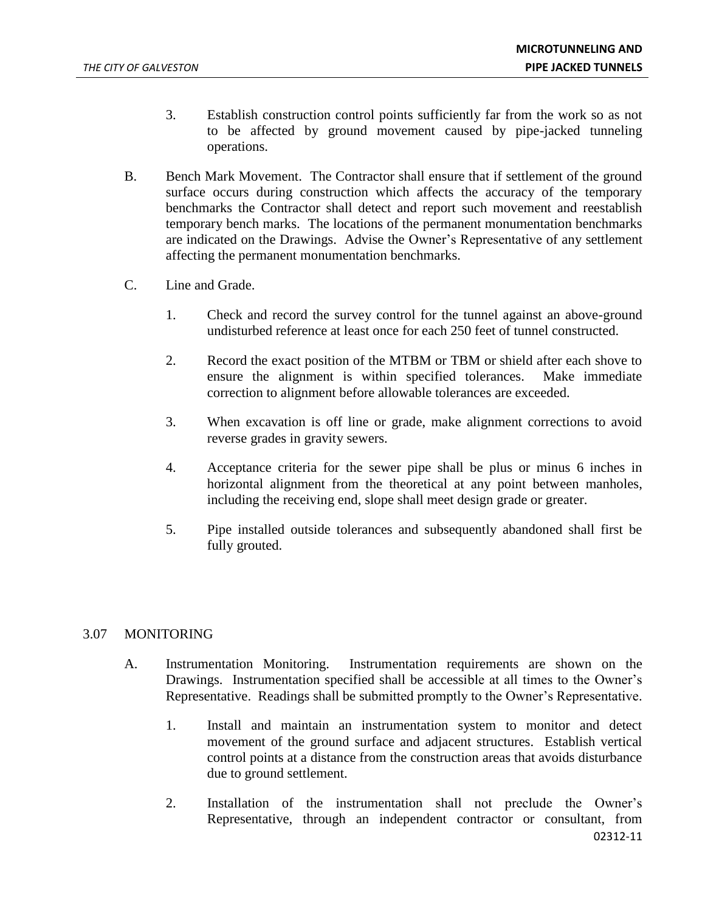- 3. Establish construction control points sufficiently far from the work so as not to be affected by ground movement caused by pipe-jacked tunneling operations.
- B. Bench Mark Movement. The Contractor shall ensure that if settlement of the ground surface occurs during construction which affects the accuracy of the temporary benchmarks the Contractor shall detect and report such movement and reestablish temporary bench marks. The locations of the permanent monumentation benchmarks are indicated on the Drawings. Advise the Owner's Representative of any settlement affecting the permanent monumentation benchmarks.
- C. Line and Grade.
	- 1. Check and record the survey control for the tunnel against an above-ground undisturbed reference at least once for each 250 feet of tunnel constructed.
	- 2. Record the exact position of the MTBM or TBM or shield after each shove to ensure the alignment is within specified tolerances. Make immediate correction to alignment before allowable tolerances are exceeded.
	- 3. When excavation is off line or grade, make alignment corrections to avoid reverse grades in gravity sewers.
	- 4. Acceptance criteria for the sewer pipe shall be plus or minus 6 inches in horizontal alignment from the theoretical at any point between manholes, including the receiving end, slope shall meet design grade or greater.
	- 5. Pipe installed outside tolerances and subsequently abandoned shall first be fully grouted.

# 3.07 MONITORING

- A. Instrumentation Monitoring. Instrumentation requirements are shown on the Drawings. Instrumentation specified shall be accessible at all times to the Owner's Representative. Readings shall be submitted promptly to the Owner's Representative.
	- 1. Install and maintain an instrumentation system to monitor and detect movement of the ground surface and adjacent structures. Establish vertical control points at a distance from the construction areas that avoids disturbance due to ground settlement.
	- 02312-11 2. Installation of the instrumentation shall not preclude the Owner's Representative, through an independent contractor or consultant, from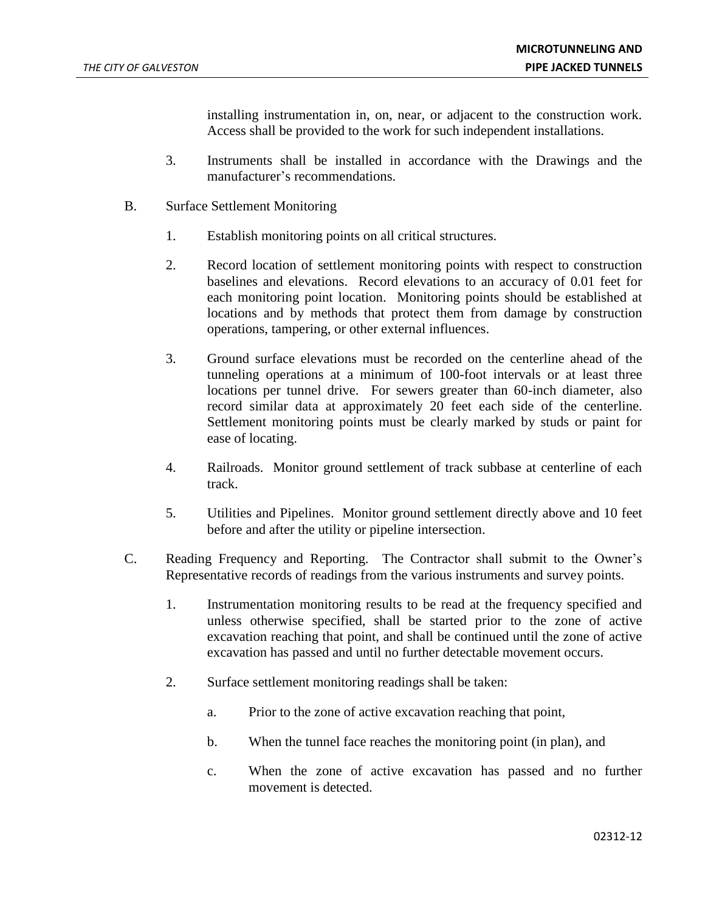installing instrumentation in, on, near, or adjacent to the construction work. Access shall be provided to the work for such independent installations.

- 3. Instruments shall be installed in accordance with the Drawings and the manufacturer's recommendations.
- B. Surface Settlement Monitoring
	- 1. Establish monitoring points on all critical structures.
	- 2. Record location of settlement monitoring points with respect to construction baselines and elevations. Record elevations to an accuracy of 0.01 feet for each monitoring point location. Monitoring points should be established at locations and by methods that protect them from damage by construction operations, tampering, or other external influences.
	- 3. Ground surface elevations must be recorded on the centerline ahead of the tunneling operations at a minimum of 100-foot intervals or at least three locations per tunnel drive. For sewers greater than 60-inch diameter, also record similar data at approximately 20 feet each side of the centerline. Settlement monitoring points must be clearly marked by studs or paint for ease of locating.
	- 4. Railroads. Monitor ground settlement of track subbase at centerline of each track.
	- 5. Utilities and Pipelines. Monitor ground settlement directly above and 10 feet before and after the utility or pipeline intersection.
- C. Reading Frequency and Reporting. The Contractor shall submit to the Owner's Representative records of readings from the various instruments and survey points.
	- 1. Instrumentation monitoring results to be read at the frequency specified and unless otherwise specified, shall be started prior to the zone of active excavation reaching that point, and shall be continued until the zone of active excavation has passed and until no further detectable movement occurs.
	- 2. Surface settlement monitoring readings shall be taken:
		- a. Prior to the zone of active excavation reaching that point,
		- b. When the tunnel face reaches the monitoring point (in plan), and
		- c. When the zone of active excavation has passed and no further movement is detected.